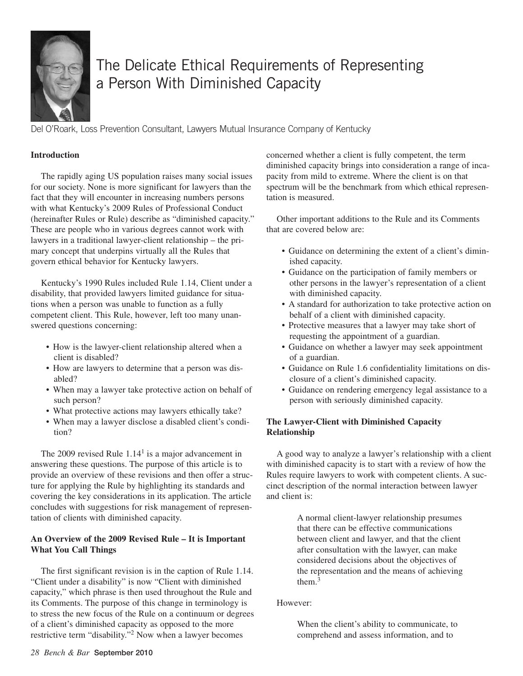

# The Delicate Ethical Requirements of Representing a Person With Diminished Capacity

Del O'Roark, Loss Prevention Consultant, Lawyers Mutual Insurance Company of Kentucky

# **Introduction**

The rapidly aging US population raises many social issues for our society. None is more significant for lawyers than the fact that they will encounter in increasing numbers persons with what Kentucky's 2009 Rules of Professional Conduct (hereinafter Rules or Rule) describe as "diminished capacity." These are people who in various degrees cannot work with lawyers in a traditional lawyer-client relationship – the primary concept that underpins virtually all the Rules that govern ethical behavior for Kentucky lawyers.

Kentucky's 1990 Rules included Rule 1.14, Client under a disability, that provided lawyers limited guidance for situations when a person was unable to function as a fully competent client. This Rule, however, left too many unanswered questions concerning:

- How is the lawyer-client relationship altered when a client is disabled?
- How are lawyers to determine that a person was disabled?
- When may a lawyer take protective action on behalf of such person?
- What protective actions may lawyers ethically take?
- When may a lawyer disclose a disabled client's condition?

The 2009 revised Rule  $1.14<sup>1</sup>$  is a major advancement in answering these questions. The purpose of this article is to provide an overview of these revisions and then offer a structure for applying the Rule by highlighting its standards and covering the key considerations in its application. The article concludes with suggestions for risk management of representation of clients with diminished capacity.

# **An Overview of the 2009 Revised Rule – It is Important What You Call Things**

The first significant revision is in the caption of Rule 1.14. "Client under a disability" is now "Client with diminished capacity," which phrase is then used throughout the Rule and its Comments. The purpose of this change in terminology is to stress the new focus of the Rule on a continuum or degrees of a client's diminished capacity as opposed to the more restrictive term "disability."2 Now when a lawyer becomes

concerned whether a client is fully competent, the term diminished capacity brings into consideration a range of incapacity from mild to extreme. Where the client is on that spectrum will be the benchmark from which ethical representation is measured.

Other important additions to the Rule and its Comments that are covered below are:

- Guidance on determining the extent of a client's diminished capacity.
- Guidance on the participation of family members or other persons in the lawyer's representation of a client with diminished capacity.
- A standard for authorization to take protective action on behalf of a client with diminished capacity.
- Protective measures that a lawyer may take short of requesting the appointment of a guardian.
- Guidance on whether a lawyer may seek appointment of a guardian.
- Guidance on Rule 1.6 confidentiality limitations on disclosure of a client's diminished capacity.
- Guidance on rendering emergency legal assistance to a person with seriously diminished capacity.

# **The Lawyer-Client with Diminished Capacity Relationship**

A good way to analyze a lawyer's relationship with a client with diminished capacity is to start with a review of how the Rules require lawyers to work with competent clients. A succinct description of the normal interaction between lawyer and client is:

> A normal client-lawyer relationship presumes that there can be effective communications between client and lawyer, and that the client after consultation with the lawyer, can make considered decisions about the objectives of the representation and the means of achieving them.3

## However:

When the client's ability to communicate, to comprehend and assess information, and to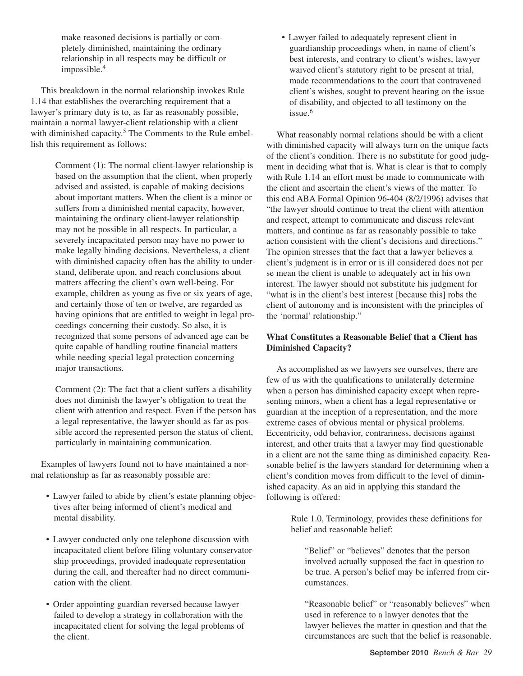make reasoned decisions is partially or completely diminished, maintaining the ordinary relationship in all respects may be difficult or impossible.4

This breakdown in the normal relationship invokes Rule 1.14 that establishes the overarching requirement that a lawyer's primary duty is to, as far as reasonably possible, maintain a normal lawyer-client relationship with a client with diminished capacity.<sup>5</sup> The Comments to the Rule embellish this requirement as follows:

> Comment (1): The normal client-lawyer relationship is based on the assumption that the client, when properly advised and assisted, is capable of making decisions about important matters. When the client is a minor or suffers from a diminished mental capacity, however, maintaining the ordinary client-lawyer relationship may not be possible in all respects. In particular, a severely incapacitated person may have no power to make legally binding decisions. Nevertheless, a client with diminished capacity often has the ability to understand, deliberate upon, and reach conclusions about matters affecting the client's own well-being. For example, children as young as five or six years of age, and certainly those of ten or twelve, are regarded as having opinions that are entitled to weight in legal proceedings concerning their custody. So also, it is recognized that some persons of advanced age can be quite capable of handling routine financial matters while needing special legal protection concerning major transactions.

> Comment (2): The fact that a client suffers a disability does not diminish the lawyer's obligation to treat the client with attention and respect. Even if the person has a legal representative, the lawyer should as far as possible accord the represented person the status of client, particularly in maintaining communication.

Examples of lawyers found not to have maintained a normal relationship as far as reasonably possible are:

- Lawyer failed to abide by client's estate planning objectives after being informed of client's medical and mental disability.
- Lawyer conducted only one telephone discussion with incapacitated client before filing voluntary conservatorship proceedings, provided inadequate representation during the call, and thereafter had no direct communication with the client.
- Order appointing guardian reversed because lawyer failed to develop a strategy in collaboration with the incapacitated client for solving the legal problems of the client.

• Lawyer failed to adequately represent client in guardianship proceedings when, in name of client's best interests, and contrary to client's wishes, lawyer waived client's statutory right to be present at trial, made recommendations to the court that contravened client's wishes, sought to prevent hearing on the issue of disability, and objected to all testimony on the  $i$ ssue.<sup>6</sup>

What reasonably normal relations should be with a client with diminished capacity will always turn on the unique facts of the client's condition. There is no substitute for good judgment in deciding what that is. What is clear is that to comply with Rule 1.14 an effort must be made to communicate with the client and ascertain the client's views of the matter. To this end ABA Formal Opinion 96-404 (8/2/1996) advises that "the lawyer should continue to treat the client with attention and respect, attempt to communicate and discuss relevant matters, and continue as far as reasonably possible to take action consistent with the client's decisions and directions." The opinion stresses that the fact that a lawyer believes a client's judgment is in error or is ill considered does not per se mean the client is unable to adequately act in his own interest. The lawyer should not substitute his judgment for "what is in the client's best interest [because this] robs the client of autonomy and is inconsistent with the principles of the 'normal' relationship."

## **What Constitutes a Reasonable Belief that a Client has Diminished Capacity?**

As accomplished as we lawyers see ourselves, there are few of us with the qualifications to unilaterally determine when a person has diminished capacity except when representing minors, when a client has a legal representative or guardian at the inception of a representation, and the more extreme cases of obvious mental or physical problems. Eccentricity, odd behavior, contrariness, decisions against interest, and other traits that a lawyer may find questionable in a client are not the same thing as diminished capacity. Reasonable belief is the lawyers standard for determining when a client's condition moves from difficult to the level of diminished capacity. As an aid in applying this standard the following is offered:

> Rule 1.0, Terminology, provides these definitions for belief and reasonable belief:

"Belief" or "believes" denotes that the person involved actually supposed the fact in question to be true. A person's belief may be inferred from circumstances.

"Reasonable belief" or "reasonably believes" when used in reference to a lawyer denotes that the lawyer believes the matter in question and that the circumstances are such that the belief is reasonable.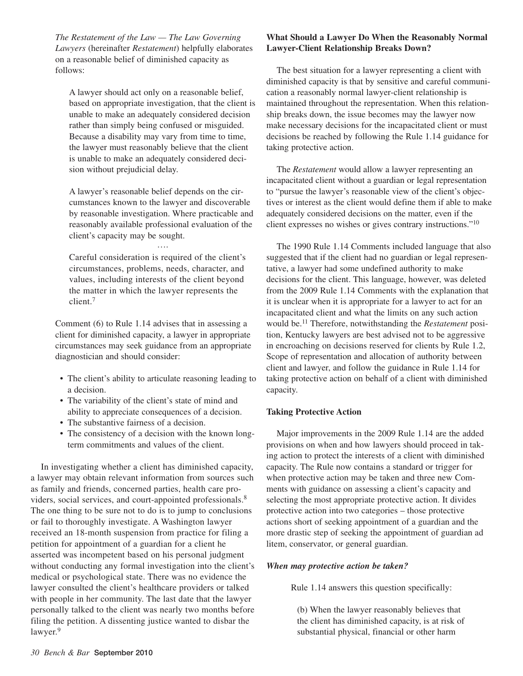*The Restatement of the Law — The Law Governing Lawyers* (hereinafter *Restatement*) helpfully elaborates on a reasonable belief of diminished capacity as follows:

A lawyer should act only on a reasonable belief, based on appropriate investigation, that the client is unable to make an adequately considered decision rather than simply being confused or misguided. Because a disability may vary from time to time, the lawyer must reasonably believe that the client is unable to make an adequately considered decision without prejudicial delay.

A lawyer's reasonable belief depends on the circumstances known to the lawyer and discoverable by reasonable investigation. Where practicable and reasonably available professional evaluation of the client's capacity may be sought.

….

Careful consideration is required of the client's circumstances, problems, needs, character, and values, including interests of the client beyond the matter in which the lawyer represents the client.<sup>7</sup>

Comment (6) to Rule 1.14 advises that in assessing a client for diminished capacity, a lawyer in appropriate circumstances may seek guidance from an appropriate diagnostician and should consider:

- The client's ability to articulate reasoning leading to a decision.
- The variability of the client's state of mind and ability to appreciate consequences of a decision.
- The substantive fairness of a decision.
- The consistency of a decision with the known longterm commitments and values of the client.

In investigating whether a client has diminished capacity, a lawyer may obtain relevant information from sources such as family and friends, concerned parties, health care providers, social services, and court-appointed professionals.<sup>8</sup> The one thing to be sure not to do is to jump to conclusions or fail to thoroughly investigate. A Washington lawyer received an 18-month suspension from practice for filing a petition for appointment of a guardian for a client he asserted was incompetent based on his personal judgment without conducting any formal investigation into the client's medical or psychological state. There was no evidence the lawyer consulted the client's healthcare providers or talked with people in her community. The last date that the lawyer personally talked to the client was nearly two months before filing the petition. A dissenting justice wanted to disbar the lawyer.<sup>9</sup>

## **What Should a Lawyer Do When the Reasonably Normal Lawyer-Client Relationship Breaks Down?**

The best situation for a lawyer representing a client with diminished capacity is that by sensitive and careful communication a reasonably normal lawyer-client relationship is maintained throughout the representation. When this relationship breaks down, the issue becomes may the lawyer now make necessary decisions for the incapacitated client or must decisions be reached by following the Rule 1.14 guidance for taking protective action.

The *Restatement* would allow a lawyer representing an incapacitated client without a guardian or legal representation to "pursue the lawyer's reasonable view of the client's objectives or interest as the client would define them if able to make adequately considered decisions on the matter, even if the client expresses no wishes or gives contrary instructions."10

The 1990 Rule 1.14 Comments included language that also suggested that if the client had no guardian or legal representative, a lawyer had some undefined authority to make decisions for the client. This language, however, was deleted from the 2009 Rule 1.14 Comments with the explanation that it is unclear when it is appropriate for a lawyer to act for an incapacitated client and what the limits on any such action would be.11 Therefore, notwithstanding the *Restatement* position, Kentucky lawyers are best advised not to be aggressive in encroaching on decisions reserved for clients by Rule 1.2, Scope of representation and allocation of authority between client and lawyer, and follow the guidance in Rule 1.14 for taking protective action on behalf of a client with diminished capacity.

#### **Taking Protective Action**

Major improvements in the 2009 Rule 1.14 are the added provisions on when and how lawyers should proceed in taking action to protect the interests of a client with diminished capacity. The Rule now contains a standard or trigger for when protective action may be taken and three new Comments with guidance on assessing a client's capacity and selecting the most appropriate protective action. It divides protective action into two categories – those protective actions short of seeking appointment of a guardian and the more drastic step of seeking the appointment of guardian ad litem, conservator, or general guardian.

## *When may protective action be taken?*

Rule 1.14 answers this question specifically:

(b) When the lawyer reasonably believes that the client has diminished capacity, is at risk of substantial physical, financial or other harm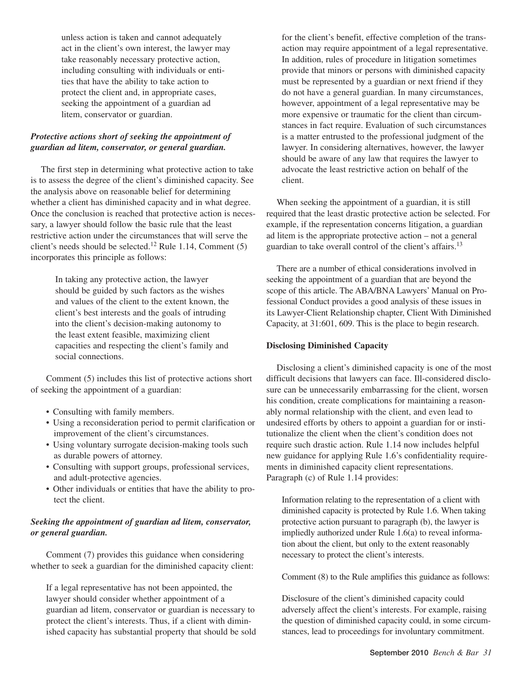unless action is taken and cannot adequately act in the client's own interest, the lawyer may take reasonably necessary protective action, including consulting with individuals or entities that have the ability to take action to protect the client and, in appropriate cases, seeking the appointment of a guardian ad litem, conservator or guardian.

## *Protective actions short of seeking the appointment of guardian ad litem, conservator, or general guardian.*

The first step in determining what protective action to take is to assess the degree of the client's diminished capacity. See the analysis above on reasonable belief for determining whether a client has diminished capacity and in what degree. Once the conclusion is reached that protective action is necessary, a lawyer should follow the basic rule that the least restrictive action under the circumstances that will serve the client's needs should be selected.<sup>12</sup> Rule 1.14, Comment  $(5)$ incorporates this principle as follows:

> In taking any protective action, the lawyer should be guided by such factors as the wishes and values of the client to the extent known, the client's best interests and the goals of intruding into the client's decision-making autonomy to the least extent feasible, maximizing client capacities and respecting the client's family and social connections.

Comment (5) includes this list of protective actions short of seeking the appointment of a guardian:

- Consulting with family members.
- Using a reconsideration period to permit clarification or improvement of the client's circumstances.
- Using voluntary surrogate decision-making tools such as durable powers of attorney.
- Consulting with support groups, professional services, and adult-protective agencies.
- Other individuals or entities that have the ability to protect the client.

## *Seeking the appointment of guardian ad litem, conservator, or general guardian.*

Comment (7) provides this guidance when considering whether to seek a guardian for the diminished capacity client:

If a legal representative has not been appointed, the lawyer should consider whether appointment of a guardian ad litem, conservator or guardian is necessary to protect the client's interests. Thus, if a client with diminished capacity has substantial property that should be sold

for the client's benefit, effective completion of the transaction may require appointment of a legal representative. In addition, rules of procedure in litigation sometimes provide that minors or persons with diminished capacity must be represented by a guardian or next friend if they do not have a general guardian. In many circumstances, however, appointment of a legal representative may be more expensive or traumatic for the client than circumstances in fact require. Evaluation of such circumstances is a matter entrusted to the professional judgment of the lawyer. In considering alternatives, however, the lawyer should be aware of any law that requires the lawyer to advocate the least restrictive action on behalf of the client.

When seeking the appointment of a guardian, it is still required that the least drastic protective action be selected. For example, if the representation concerns litigation, a guardian ad litem is the appropriate protective action – not a general guardian to take overall control of the client's affairs.13

There are a number of ethical considerations involved in seeking the appointment of a guardian that are beyond the scope of this article. The ABA/BNA Lawyers' Manual on Professional Conduct provides a good analysis of these issues in its Lawyer-Client Relationship chapter, Client With Diminished Capacity, at 31:601, 609. This is the place to begin research.

## **Disclosing Diminished Capacity**

Disclosing a client's diminished capacity is one of the most difficult decisions that lawyers can face. Ill-considered disclosure can be unnecessarily embarrassing for the client, worsen his condition, create complications for maintaining a reasonably normal relationship with the client, and even lead to undesired efforts by others to appoint a guardian for or institutionalize the client when the client's condition does not require such drastic action. Rule 1.14 now includes helpful new guidance for applying Rule 1.6's confidentiality requirements in diminished capacity client representations. Paragraph (c) of Rule 1.14 provides:

Information relating to the representation of a client with diminished capacity is protected by Rule 1.6. When taking protective action pursuant to paragraph (b), the lawyer is impliedly authorized under Rule 1.6(a) to reveal information about the client, but only to the extent reasonably necessary to protect the client's interests.

Comment (8) to the Rule amplifies this guidance as follows:

Disclosure of the client's diminished capacity could adversely affect the client's interests. For example, raising the question of diminished capacity could, in some circumstances, lead to proceedings for involuntary commitment.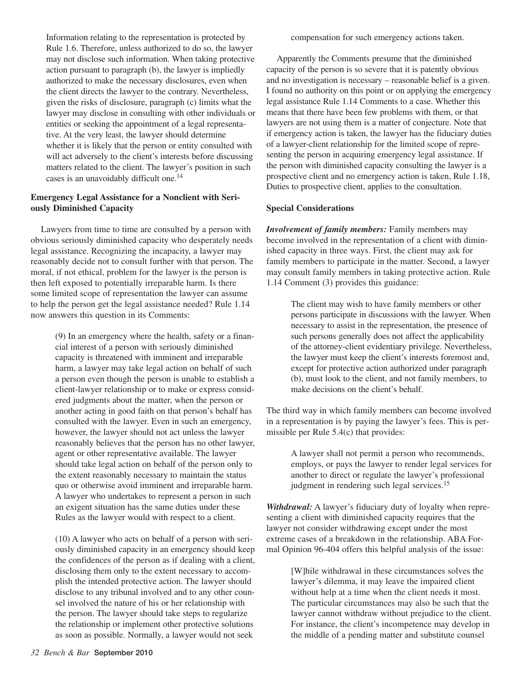Information relating to the representation is protected by Rule 1.6. Therefore, unless authorized to do so, the lawyer may not disclose such information. When taking protective action pursuant to paragraph (b), the lawyer is impliedly authorized to make the necessary disclosures, even when the client directs the lawyer to the contrary. Nevertheless, given the risks of disclosure, paragraph (c) limits what the lawyer may disclose in consulting with other individuals or entities or seeking the appointment of a legal representative. At the very least, the lawyer should determine whether it is likely that the person or entity consulted with will act adversely to the client's interests before discussing matters related to the client. The lawyer's position in such cases is an unavoidably difficult one.14

# **Emergency Legal Assistance for a Nonclient with Seriously Diminished Capacity**

Lawyers from time to time are consulted by a person with obvious seriously diminished capacity who desperately needs legal assistance. Recognizing the incapacity, a lawyer may reasonably decide not to consult further with that person. The moral, if not ethical, problem for the lawyer is the person is then left exposed to potentially irreparable harm. Is there some limited scope of representation the lawyer can assume to help the person get the legal assistance needed? Rule 1.14 now answers this question in its Comments:

> (9) In an emergency where the health, safety or a financial interest of a person with seriously diminished capacity is threatened with imminent and irreparable harm, a lawyer may take legal action on behalf of such a person even though the person is unable to establish a client-lawyer relationship or to make or express considered judgments about the matter, when the person or another acting in good faith on that person's behalf has consulted with the lawyer. Even in such an emergency, however, the lawyer should not act unless the lawyer reasonably believes that the person has no other lawyer, agent or other representative available. The lawyer should take legal action on behalf of the person only to the extent reasonably necessary to maintain the status quo or otherwise avoid imminent and irreparable harm. A lawyer who undertakes to represent a person in such an exigent situation has the same duties under these Rules as the lawyer would with respect to a client.

> (10) A lawyer who acts on behalf of a person with seriously diminished capacity in an emergency should keep the confidences of the person as if dealing with a client, disclosing them only to the extent necessary to accomplish the intended protective action. The lawyer should disclose to any tribunal involved and to any other counsel involved the nature of his or her relationship with the person. The lawyer should take steps to regularize the relationship or implement other protective solutions as soon as possible. Normally, a lawyer would not seek

compensation for such emergency actions taken.

Apparently the Comments presume that the diminished capacity of the person is so severe that it is patently obvious and no investigation is necessary – reasonable belief is a given. I found no authority on this point or on applying the emergency legal assistance Rule 1.14 Comments to a case. Whether this means that there have been few problems with them, or that lawyers are not using them is a matter of conjecture. Note that if emergency action is taken, the lawyer has the fiduciary duties of a lawyer-client relationship for the limited scope of representing the person in acquiring emergency legal assistance. If the person with diminished capacity consulting the lawyer is a prospective client and no emergency action is taken, Rule 1.18, Duties to prospective client, applies to the consultation.

## **Special Considerations**

*Involvement of family members:* Family members may become involved in the representation of a client with diminished capacity in three ways. First, the client may ask for family members to participate in the matter. Second, a lawyer may consult family members in taking protective action. Rule 1.14 Comment (3) provides this guidance:

> The client may wish to have family members or other persons participate in discussions with the lawyer. When necessary to assist in the representation, the presence of such persons generally does not affect the applicability of the attorney-client evidentiary privilege. Nevertheless, the lawyer must keep the client's interests foremost and, except for protective action authorized under paragraph (b), must look to the client, and not family members, to make decisions on the client's behalf.

The third way in which family members can become involved in a representation is by paying the lawyer's fees. This is permissible per Rule 5.4(c) that provides:

> A lawyer shall not permit a person who recommends, employs, or pays the lawyer to render legal services for another to direct or regulate the lawyer's professional judgment in rendering such legal services.15

*Withdrawal:* A lawyer's fiduciary duty of loyalty when representing a client with diminished capacity requires that the lawyer not consider withdrawing except under the most extreme cases of a breakdown in the relationship. ABA Formal Opinion 96-404 offers this helpful analysis of the issue:

> [W]hile withdrawal in these circumstances solves the lawyer's dilemma, it may leave the impaired client without help at a time when the client needs it most. The particular circumstances may also be such that the lawyer cannot withdraw without prejudice to the client. For instance, the client's incompetence may develop in the middle of a pending matter and substitute counsel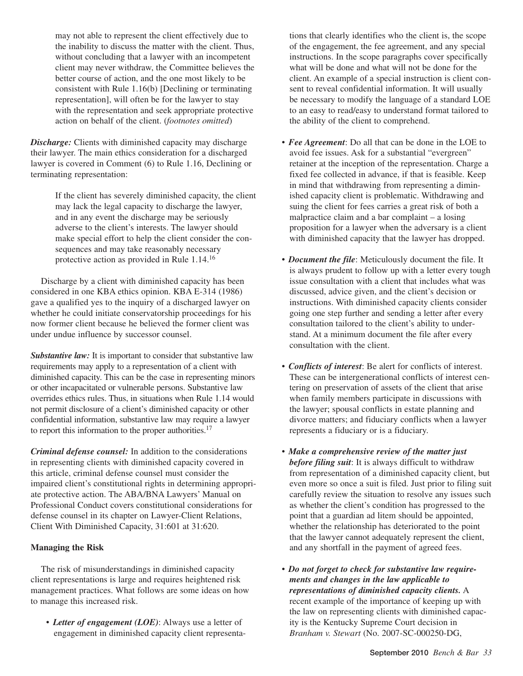may not able to represent the client effectively due to the inability to discuss the matter with the client. Thus, without concluding that a lawyer with an incompetent client may never withdraw, the Committee believes the better course of action, and the one most likely to be consistent with Rule 1.16(b) [Declining or terminating representation], will often be for the lawyer to stay with the representation and seek appropriate protective action on behalf of the client. (*footnotes omitted*)

*Discharge:* Clients with diminished capacity may discharge their lawyer. The main ethics consideration for a discharged lawyer is covered in Comment (6) to Rule 1.16, Declining or terminating representation:

> If the client has severely diminished capacity, the client may lack the legal capacity to discharge the lawyer, and in any event the discharge may be seriously adverse to the client's interests. The lawyer should make special effort to help the client consider the consequences and may take reasonably necessary protective action as provided in Rule 1.14.16

Discharge by a client with diminished capacity has been considered in one KBA ethics opinion. KBA E-314 (1986) gave a qualified yes to the inquiry of a discharged lawyer on whether he could initiate conservatorship proceedings for his now former client because he believed the former client was under undue influence by successor counsel.

*Substantive law:* It is important to consider that substantive law requirements may apply to a representation of a client with diminished capacity. This can be the case in representing minors or other incapacitated or vulnerable persons. Substantive law overrides ethics rules. Thus, in situations when Rule 1.14 would not permit disclosure of a client's diminished capacity or other confidential information, substantive law may require a lawyer to report this information to the proper authorities.<sup>17</sup>

*Criminal defense counsel:* In addition to the considerations in representing clients with diminished capacity covered in this article, criminal defense counsel must consider the impaired client's constitutional rights in determining appropriate protective action. The ABA/BNA Lawyers' Manual on Professional Conduct covers constitutional considerations for defense counsel in its chapter on Lawyer-Client Relations, Client With Diminished Capacity, 31:601 at 31:620.

## **Managing the Risk**

The risk of misunderstandings in diminished capacity client representations is large and requires heightened risk management practices. What follows are some ideas on how to manage this increased risk.

• *Letter of engagement (LOE)*: Always use a letter of engagement in diminished capacity client representations that clearly identifies who the client is, the scope of the engagement, the fee agreement, and any special instructions. In the scope paragraphs cover specifically what will be done and what will not be done for the client. An example of a special instruction is client consent to reveal confidential information. It will usually be necessary to modify the language of a standard LOE to an easy to read/easy to understand format tailored to the ability of the client to comprehend.

- *Fee Agreement*: Do all that can be done in the LOE to avoid fee issues. Ask for a substantial "evergreen" retainer at the inception of the representation. Charge a fixed fee collected in advance, if that is feasible. Keep in mind that withdrawing from representing a diminished capacity client is problematic. Withdrawing and suing the client for fees carries a great risk of both a malpractice claim and a bar complaint – a losing proposition for a lawyer when the adversary is a client with diminished capacity that the lawyer has dropped.
- *Document the file*: Meticulously document the file. It is always prudent to follow up with a letter every tough issue consultation with a client that includes what was discussed, advice given, and the client's decision or instructions. With diminished capacity clients consider going one step further and sending a letter after every consultation tailored to the client's ability to understand. At a minimum document the file after every consultation with the client.
- *Conflicts of interest*: Be alert for conflicts of interest. These can be intergenerational conflicts of interest centering on preservation of assets of the client that arise when family members participate in discussions with the lawyer; spousal conflicts in estate planning and divorce matters; and fiduciary conflicts when a lawyer represents a fiduciary or is a fiduciary.
- *Make a comprehensive review of the matter just before filing suit*: It is always difficult to withdraw from representation of a diminished capacity client, but even more so once a suit is filed. Just prior to filing suit carefully review the situation to resolve any issues such as whether the client's condition has progressed to the point that a guardian ad litem should be appointed, whether the relationship has deteriorated to the point that the lawyer cannot adequately represent the client, and any shortfall in the payment of agreed fees.
- *Do not forget to check for substantive law requirements and changes in the law applicable to representations of diminished capacity clients.* A recent example of the importance of keeping up with the law on representing clients with diminished capacity is the Kentucky Supreme Court decision in *Branham v. Stewart* (No. 2007-SC-000250-DG,